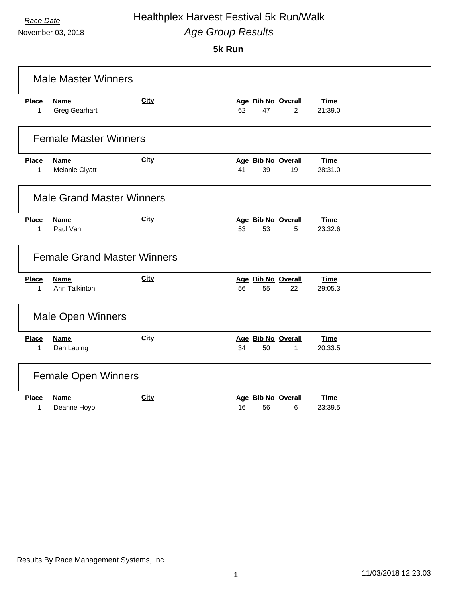November 03, 2018

## **5k Run**

|                             | <b>Male Master Winners</b>          |             |                                                  |                        |  |
|-----------------------------|-------------------------------------|-------------|--------------------------------------------------|------------------------|--|
| <b>Place</b><br>1           | <b>Name</b><br><b>Greg Gearhart</b> | <b>City</b> | Age Bib No Overall<br>62<br>47<br>$\overline{2}$ | <b>Time</b><br>21:39.0 |  |
|                             | <b>Female Master Winners</b>        |             |                                                  |                        |  |
| <b>Place</b><br>1           | <b>Name</b><br>Melanie Clyatt       | <b>City</b> | Age Bib No Overall<br>41<br>39<br>19             | <b>Time</b><br>28:31.0 |  |
|                             | <b>Male Grand Master Winners</b>    |             |                                                  |                        |  |
| <b>Place</b><br>1           | Name<br>Paul Van                    | City        | Age Bib No Overall<br>53<br>53<br>5              | <b>Time</b><br>23:32.6 |  |
|                             | <b>Female Grand Master Winners</b>  |             |                                                  |                        |  |
| <b>Place</b><br>$\mathbf 1$ | <b>Name</b><br>Ann Talkinton        | City        | Age Bib No Overall<br>56<br>55<br>22             | <b>Time</b><br>29:05.3 |  |
| <b>Male Open Winners</b>    |                                     |             |                                                  |                        |  |
| <b>Place</b><br>1           | <b>Name</b><br>Dan Lauing           | City        | Age Bib No Overall<br>34<br>50<br>1              | <b>Time</b><br>20:33.5 |  |
|                             | <b>Female Open Winners</b>          |             |                                                  |                        |  |
| <b>Place</b><br>1           | <b>Name</b><br>Deanne Hoyo          | <b>City</b> | Age Bib No Overall<br>16<br>56<br>6              | <b>Time</b><br>23:39.5 |  |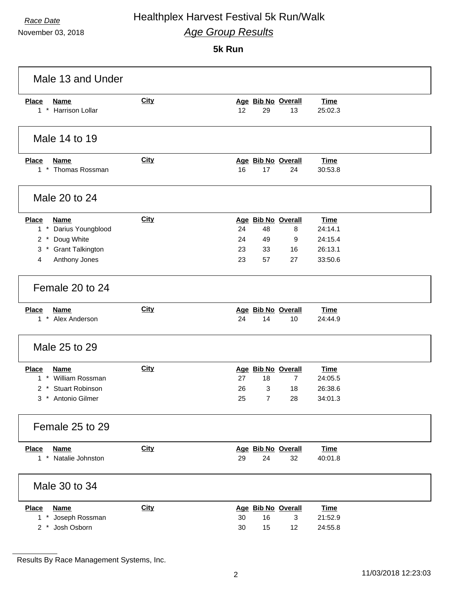November 03, 2018

### **5k Run**

| Male 13 and Under                                                                                                                                 |             |                                                                                                 |                                                         |
|---------------------------------------------------------------------------------------------------------------------------------------------------|-------------|-------------------------------------------------------------------------------------------------|---------------------------------------------------------|
| <b>Place</b><br><b>Name</b><br><b>Harrison Lollar</b><br>$1 *$                                                                                    | <b>City</b> | Age Bib No Overall<br>12<br>29<br>13                                                            | <b>Time</b><br>25:02.3                                  |
| Male 14 to 19                                                                                                                                     |             |                                                                                                 |                                                         |
| <b>Place</b><br><b>Name</b><br>1 * Thomas Rossman                                                                                                 | <b>City</b> | Age Bib No Overall<br>16<br>24<br>17                                                            | <b>Time</b><br>30:53.8                                  |
| Male 20 to 24                                                                                                                                     |             |                                                                                                 |                                                         |
| <b>Place</b><br><b>Name</b><br>$1 *$<br>Darius Youngblood<br>Doug White<br>$2^*$<br>3<br><b>Grant Talkington</b><br>$\star$<br>Anthony Jones<br>4 | City        | Age Bib No Overall<br>24<br>48<br>8<br>24<br>49<br>9<br>23<br>33<br>16<br>23<br>57<br>27        | <b>Time</b><br>24:14.1<br>24:15.4<br>26:13.1<br>33:50.6 |
| Female 20 to 24                                                                                                                                   |             |                                                                                                 |                                                         |
| <b>Place</b><br><b>Name</b><br>1 * Alex Anderson                                                                                                  | <b>City</b> | Age Bib No Overall<br>24<br>14<br>10                                                            | <b>Time</b><br>24:44.9                                  |
| Male 25 to 29                                                                                                                                     |             |                                                                                                 |                                                         |
| <b>Place</b><br><b>Name</b><br><b>William Rossman</b><br>$1$ $*$<br><b>Stuart Robinson</b><br>2<br>$\ast$<br>3 * Antonio Gilmer                   | <b>City</b> | Age Bib No Overall<br>27<br>18<br>$\overline{7}$<br>26<br>3<br>18<br>25<br>$\overline{7}$<br>28 | <b>Time</b><br>24:05.5<br>26:38.6<br>34:01.3            |
| Female 25 to 29                                                                                                                                   |             |                                                                                                 |                                                         |
| <b>Place</b><br><b>Name</b><br>Natalie Johnston<br>$1$ $*$                                                                                        | City        | Age Bib No Overall<br>24<br>29<br>32                                                            | <b>Time</b><br>40:01.8                                  |
| Male 30 to 34                                                                                                                                     |             |                                                                                                 |                                                         |
| <b>Place</b><br><b>Name</b><br>1 * Joseph Rossman<br>2 * Josh Osborn                                                                              | <b>City</b> | Age Bib No Overall<br>30<br>16<br>3<br>30<br>15<br>12                                           | <b>Time</b><br>21:52.9<br>24:55.8                       |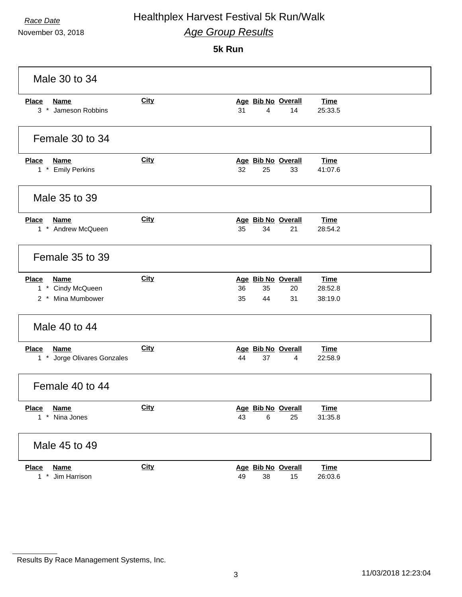November 03, 2018

### **5k Run**

| Male 30 to 34                                                         |             |                                                                                             |  |  |
|-----------------------------------------------------------------------|-------------|---------------------------------------------------------------------------------------------|--|--|
| <b>Place</b><br><b>Name</b><br>3 * Jameson Robbins                    | <b>City</b> | Age Bib No Overall<br><b>Time</b><br>31<br>$\overline{4}$<br>14<br>25:33.5                  |  |  |
| Female 30 to 34                                                       |             |                                                                                             |  |  |
| <b>Place</b><br><b>Name</b><br>1 * Emily Perkins                      | <b>City</b> | Age Bib No Overall<br><b>Time</b><br>32<br>25<br>33<br>41:07.6                              |  |  |
| Male 35 to 39                                                         |             |                                                                                             |  |  |
| <b>Place</b><br><b>Name</b><br>1 * Andrew McQueen                     | City        | Age Bib No Overall<br><b>Time</b><br>35<br>34<br>28:54.2<br>21                              |  |  |
| Female 35 to 39                                                       |             |                                                                                             |  |  |
| <b>Place</b><br><b>Name</b><br>1 * Cindy McQueen<br>2 * Mina Mumbower | City        | Age Bib No Overall<br><b>Time</b><br>36<br>35<br>20<br>28:52.8<br>35<br>44<br>31<br>38:19.0 |  |  |
| Male 40 to 44                                                         |             |                                                                                             |  |  |
| <b>Place</b><br><b>Name</b><br>1 * Jorge Olivares Gonzales            | <b>City</b> | Age Bib No Overall<br><b>Time</b><br>44<br>37<br>22:58.9<br>4                               |  |  |
| Female 40 to 44                                                       |             |                                                                                             |  |  |
| Place<br><b>Name</b><br>$1 *$<br>Nina Jones                           | <u>City</u> | Age Bib No Overall<br><b>Time</b><br>31:35.8<br>43<br>6<br>25                               |  |  |
| Male 45 to 49                                                         |             |                                                                                             |  |  |
| <b>Place</b><br><b>Name</b><br>$1 *$<br>Jim Harrison                  | <b>City</b> | Age Bib No Overall<br><b>Time</b><br>49<br>26:03.6<br>38<br>15                              |  |  |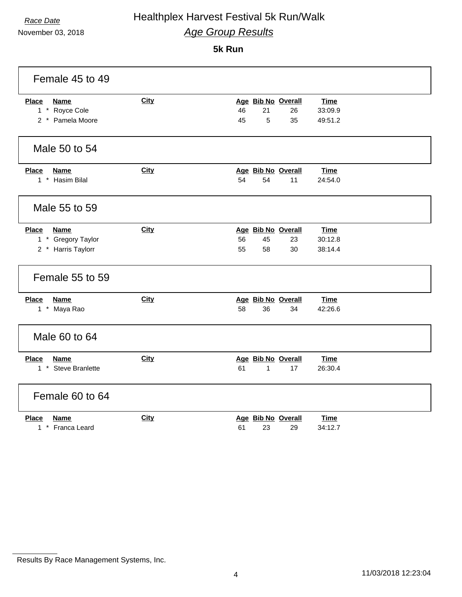November 03, 2018

## **5k Run**

| Female 45 to 49                                                   |             |                                                                                             |
|-------------------------------------------------------------------|-------------|---------------------------------------------------------------------------------------------|
| <b>Place</b><br><b>Name</b><br>1 * Royce Cole<br>2 * Pamela Moore | City        | Age Bib No Overall<br><b>Time</b><br>46<br>21<br>26<br>33:09.9<br>45<br>5<br>35<br>49:51.2  |
| Male 50 to 54                                                     |             |                                                                                             |
| <b>Place</b><br><b>Name</b><br>1 * Hasim Bilal                    | City        | Age Bib No Overall<br><b>Time</b><br>54<br>54<br>11<br>24:54.0                              |
| Male 55 to 59                                                     |             |                                                                                             |
| Place<br><b>Name</b><br>1 * Gregory Taylor<br>2 * Harris Taylorr  | City        | Age Bib No Overall<br><b>Time</b><br>56<br>45<br>23<br>30:12.8<br>55<br>58<br>38:14.4<br>30 |
| Female 55 to 59                                                   |             |                                                                                             |
| <b>Name</b><br><b>Place</b><br>1 * Maya Rao                       | <b>City</b> | Age Bib No Overall<br><b>Time</b><br>58<br>36<br>42:26.6<br>34                              |
| Male 60 to 64                                                     |             |                                                                                             |
| <b>Name</b><br><b>Place</b><br>1 * Steve Branlette                | <b>City</b> | Age Bib No Overall<br><b>Time</b><br>61<br>1<br>17<br>26:30.4                               |
| Female 60 to 64                                                   |             |                                                                                             |
| <b>Place</b><br><b>Name</b><br>1 * Franca Leard                   | City        | Age Bib No Overall<br><b>Time</b><br>61<br>23<br>29<br>34:12.7                              |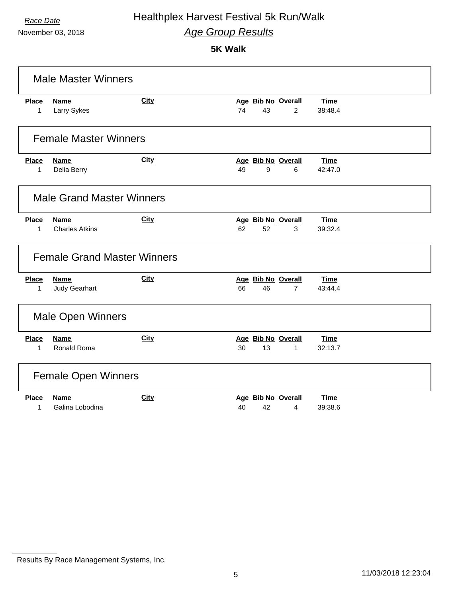November 03, 2018

**5K Walk**

| <b>Male Master Winners</b>   |                                      |             |    |    |                                      |                        |
|------------------------------|--------------------------------------|-------------|----|----|--------------------------------------|------------------------|
| <b>Place</b><br>1            | <b>Name</b><br>Larry Sykes           | City        | 74 | 43 | Age Bib No Overall<br>$\overline{2}$ | <b>Time</b><br>38:48.4 |
|                              | <b>Female Master Winners</b>         |             |    |    |                                      |                        |
| <b>Place</b><br>1            | <b>Name</b><br>Delia Berry           | City        | 49 | 9  | Age Bib No Overall<br>6              | <b>Time</b><br>42:47.0 |
|                              | <b>Male Grand Master Winners</b>     |             |    |    |                                      |                        |
| <b>Place</b><br>$\mathbf 1$  | <b>Name</b><br><b>Charles Atkins</b> | City        | 62 | 52 | Age Bib No Overall<br>3              | <b>Time</b><br>39:32.4 |
|                              | <b>Female Grand Master Winners</b>   |             |    |    |                                      |                        |
| <b>Place</b><br>$\mathbf{1}$ | Name<br>Judy Gearhart                | <b>City</b> | 66 | 46 | Age Bib No Overall<br>$\overline{7}$ | Time<br>43:44.4        |
| <b>Male Open Winners</b>     |                                      |             |    |    |                                      |                        |
| <b>Place</b><br>1            | <b>Name</b><br>Ronald Roma           | City        | 30 | 13 | Age Bib No Overall<br>$\mathbf{1}$   | <b>Time</b><br>32:13.7 |
|                              | <b>Female Open Winners</b>           |             |    |    |                                      |                        |
| <b>Place</b><br>1            | <b>Name</b><br>Galina Lobodina       | City        | 40 | 42 | Age Bib No Overall<br>4              | <b>Time</b><br>39:38.6 |